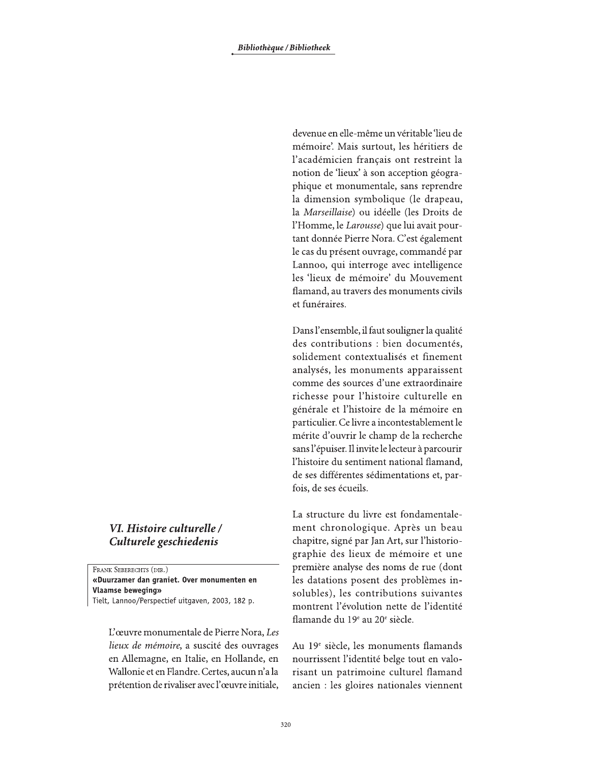devenue en elle-même un véritable 'lieu de mémoire'. Mais surtout, les héritiers de l'académicien français ont restreint la notion de 'lieux' à son acception géographique et monumentale, sans reprendre la dimension symbolique (le drapeau, la Marseillaise) ou idéelle (les Droits de l'Homme, le Larousse) que lui avait pourtant donnée Pierre Nora. C'est également le cas du présent ouvrage, commandé par Lannoo, qui interroge avec intelligence les 'lieux de mémoire' du Mouvement flamand, au travers des monuments civils et funéraires.

Dans l'ensemble, il faut souligner la qualité des contributions : bien documentés, solidement contextualisés et finement analysés, les monuments apparaissent comme des sources d'une extraordinaire richesse pour l'histoire culturelle en générale et l'histoire de la mémoire en particulier. Ce livre a incontestablement le mérite d'ouvrir le champ de la recherche sans l'épuiser. Il invite le lecteur à parcourir l'histoire du sentiment national flamand, de ses différentes sédimentations et, parfois, de ses écueils.

La structure du livre est fondamentalement chronologique. Après un beau chapitre, signé par Jan Art, sur l'historiographie des lieux de mémoire et une première analyse des noms de rue (dont les datations posent des problèmes insolubles), les contributions suivantes montrent l'évolution nette de l'identité flamande du 19<sup>e</sup> au 20<sup>e</sup> siècle.

Au 19<sup>e</sup> siècle, les monuments flamands nourrissent l'identité belge tout en valorisant un patrimoine culturel flamand ancien : les gloires nationales viennent

## VI. Histoire culturelle / Culturele geschiedenis

FRANK SEBERECHTS (DIR.) «Duurzamer dan graniet. Over monumenten en **Vlaamse beweging»** Tielt, Lannoo/Perspectief uitgaven, 2003, 182 p.

L'œuvre monumentale de Pierre Nora, Les lieux de mémoire, a suscité des ouvrages en Allemagne, en Italie, en Hollande, en Wallonie et en Flandre. Certes, aucun n'a la prétention de rivaliser avec l'œuvre initiale,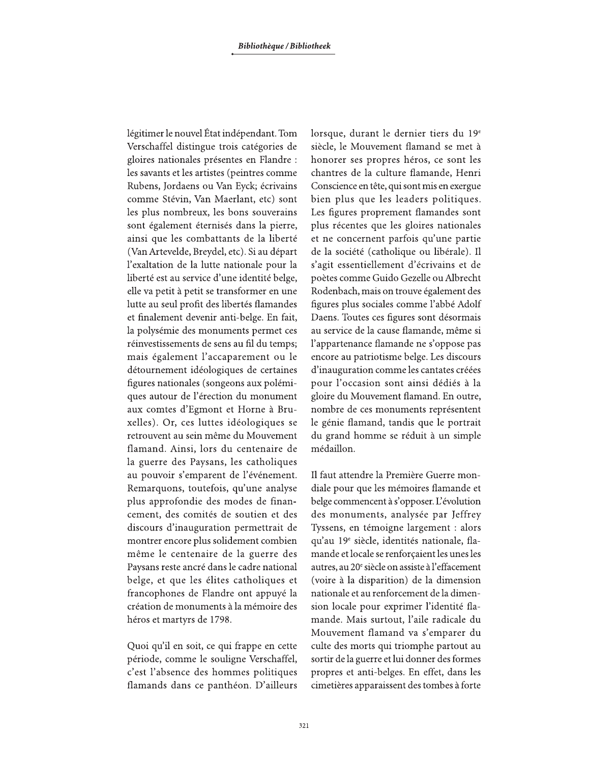légitimer le nouvel État indépendant. Tom Verschaffel distingue trois catégories de gloires nationales présentes en Flandre : les savants et les artistes (peintres comme Rubens, Jordaens ou Van Eyck; écrivains comme Stévin, Van Maerlant, etc) sont les plus nombreux, les bons souverains sont également éternisés dans la pierre, ainsi que les combattants de la liberté (Van Artevelde, Breydel, etc). Si au départ l'exaltation de la lutte nationale pour la liberté est au service d'une identité belge, elle va petit à petit se transformer en une lutte au seul profit des libertés flamandes et finalement devenir anti-belge. En fait, la polysémie des monuments permet ces réinvestissements de sens au fil du temps; mais également l'accaparement ou le détournement idéologiques de certaines figures nationales (songeons aux polémiques autour de l'érection du monument aux comtes d'Egmont et Horne à Bruxelles). Or, ces luttes idéologiques se retrouvent au sein même du Mouvement flamand. Ainsi, lors du centenaire de la guerre des Paysans, les catholiques au pouvoir s'emparent de l'événement. Remarquons, toutefois, qu'une analyse plus approfondie des modes de financement, des comités de soutien et des discours d'inauguration permettrait de montrer encore plus solidement combien même le centenaire de la guerre des Paysans reste ancré dans le cadre national belge, et que les élites catholiques et francophones de Flandre ont appuyé la création de monuments à la mémoire des héros et martyrs de 1798.

Quoi qu'il en soit, ce qui frappe en cette période, comme le souligne Verschaffel, c'est l'absence des hommes politiques flamands dans ce panthéon. D'ailleurs lorsque, durant le dernier tiers du 19<sup>e</sup> siècle, le Mouvement flamand se met à honorer ses propres héros, ce sont les chantres de la culture flamande, Henri Conscience en tête, qui sont mis en exergue bien plus que les leaders politiques. Les figures proprement flamandes sont plus récentes que les gloires nationales et ne concernent parfois qu'une partie de la société (catholique ou libérale). Il s'agit essentiellement d'écrivains et de poètes comme Guido Gezelle ou Albrecht Rodenbach, mais on trouve également des figures plus sociales comme l'abbé Adolf Daens. Toutes ces figures sont désormais au service de la cause flamande, même si l'appartenance flamande ne s'oppose pas encore au patriotisme belge. Les discours d'inauguration comme les cantates créées pour l'occasion sont ainsi dédiés à la gloire du Mouvement flamand. En outre, nombre de ces monuments représentent le génie flamand, tandis que le portrait du grand homme se réduit à un simple médaillon.

Il faut attendre la Première Guerre mondiale pour que les mémoires flamande et belge commencent à s'opposer. L'évolution des monuments, analysée par Jeffrey Tyssens, en témoigne largement : alors qu'au 19<sup>e</sup> siècle, identités nationale, flamande et locale se renforçaient les unes les autres, au 20<sup>e</sup> siècle on assiste à l'effacement (voire à la disparition) de la dimension nationale et au renforcement de la dimension locale pour exprimer l'identité flamande. Mais surtout, l'aile radicale du Mouvement flamand va s'emparer du culte des morts qui triomphe partout au sortir de la guerre et lui donner des formes propres et anti-belges. En effet, dans les cimetières apparaissent des tombes à forte